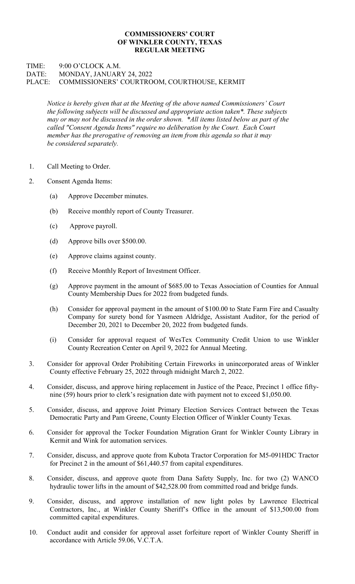## COMMISSIONERS' COURT OF WINKLER COUNTY, TEXAS REGULAR MEETING

## TIME: 9:00 O'CLOCK A.M. DATE: MONDAY, JANUARY 24, 2022 PLACE: COMMISSIONERS' COURTROOM, COURTHOUSE, KERMIT

Notice is hereby given that at the Meeting of the above named Commissioners' Court the following subjects will be discussed and appropriate action taken\*. These subjects may or may not be discussed in the order shown. \*All items listed below as part of the called "Consent Agenda Items" require no deliberation by the Court. Each Court member has the prerogative of removing an item from this agenda so that it may be considered separately.

- 1. Call Meeting to Order.
- 2. Consent Agenda Items:
	- (a) Approve December minutes.
	- (b) Receive monthly report of County Treasurer.
	- (c) Approve payroll.
	- (d) Approve bills over \$500.00.
	- (e) Approve claims against county.
	- (f) Receive Monthly Report of Investment Officer.
	- (g) Approve payment in the amount of \$685.00 to Texas Association of Counties for Annual County Membership Dues for 2022 from budgeted funds.
	- (h) Consider for approval payment in the amount of \$100.00 to State Farm Fire and Casualty Company for surety bond for Yasmeen Aldridge, Assistant Auditor, for the period of December 20, 2021 to December 20, 2022 from budgeted funds.
	- (i) Consider for approval request of WesTex Community Credit Union to use Winkler County Recreation Center on April 9, 2022 for Annual Meeting.
- 3. Consider for approval Order Prohibiting Certain Fireworks in unincorporated areas of Winkler County effective February 25, 2022 through midnight March 2, 2022.
- 4. Consider, discuss, and approve hiring replacement in Justice of the Peace, Precinct 1 office fiftynine (59) hours prior to clerk's resignation date with payment not to exceed \$1,050.00.
- 5. Consider, discuss, and approve Joint Primary Election Services Contract between the Texas Democratic Party and Pam Greene, County Election Officer of Winkler County Texas.
- 6. Consider for approval the Tocker Foundation Migration Grant for Winkler County Library in Kermit and Wink for automation services.
- 7. Consider, discuss, and approve quote from Kubota Tractor Corporation for M5-091HDC Tractor for Precinct 2 in the amount of \$61,440.57 from capital expenditures.
- 8. Consider, discuss, and approve quote from Dana Safety Supply, Inc. for two (2) WANCO hydraulic tower lifts in the amount of \$42,528.00 from committed road and bridge funds.
- 9. Consider, discuss, and approve installation of new light poles by Lawrence Electrical Contractors, Inc., at Winkler County Sheriff's Office in the amount of \$13,500.00 from committed capital expenditures.
- 10. Conduct audit and consider for approval asset forfeiture report of Winkler County Sheriff in accordance with Article 59.06, V.C.T.A.